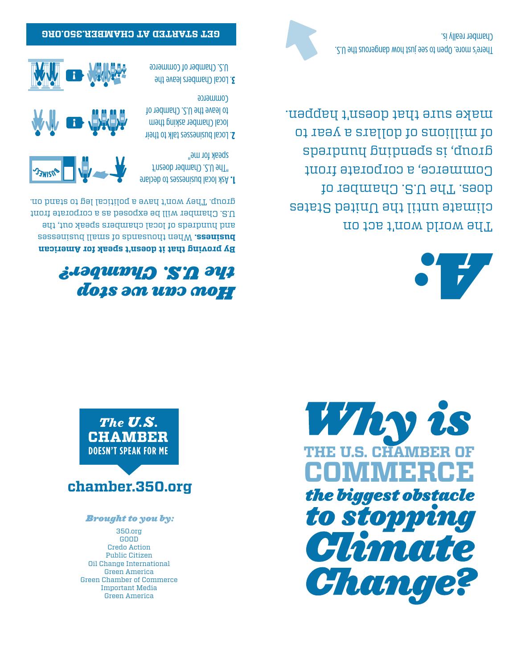350.org GOOD Credo Action Public Citizen Oil Change International Green America Green Chamber of Commerce Important Media Green America

#### *Brought to you by:*

## **chamber.350.org**





### *How can we stop the U.S. Chamber?*

**merican A y proving that it doesn't speak for B** When thousands of small businesses **business.**  and hundreds of local chambers speak out, the U.S. Chamber will be exposed as a corporate front group. They won't have a political leg to stand on.



**sk local businesses to declare** "The U.S. Chamber doesn't speak for me"

- Local businesses talk to their . **2** local Chamber asking them to leave the U.S. Chamber of Commerce
- Local Chambers leave the . **3** U.S. Chamber of Commerce



**g hamber.350.or c T A D ET AR T ST EG**



The world won't act on climate until the United States does. The U.S. Chamber of Commerce, a corporate front sparpunų buipuads sį 'dnorb of millions of dollars a year to make sure that doesn't happen.